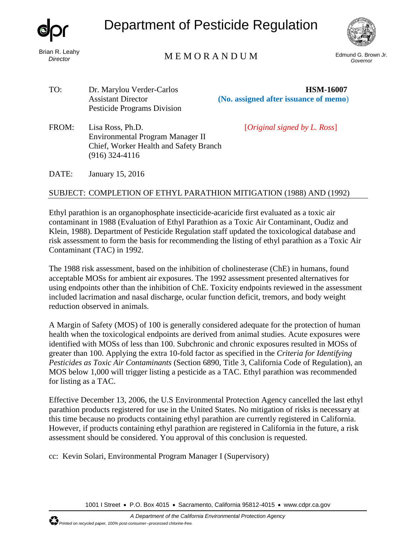

Brian R. Leahy *Director*

## Department of Pesticide Regulation



## Edmund G. Brown Jr. M E M O R A N D U M *Governor*

| TO:   | Dr. Marylou Verder-Carlos<br><b>Assistant Director</b><br><b>Pesticide Programs Division</b>                       | <b>HSM-16007</b><br>(No. assigned after issuance of memo) |
|-------|--------------------------------------------------------------------------------------------------------------------|-----------------------------------------------------------|
| FROM: | Lisa Ross, Ph.D.<br>Environmental Program Manager II<br>Chief, Worker Health and Safety Branch<br>$(916)$ 324-4116 | [ <i>Original signed by L. Ross</i> ]                     |
| DATE: | January 15, 2016                                                                                                   |                                                           |

## SUBJECT: COMPLETION OF ETHYL PARATHION MITIGATION (1988) AND (1992)

Ethyl parathion is an organophosphate insecticide-acaricide first evaluated as a toxic air contaminant in 1988 (Evaluation of Ethyl Parathion as a Toxic Air Contaminant, Oudiz and Klein, 1988). Department of Pesticide Regulation staff updated the toxicological database and risk assessment to form the basis for recommending the listing of ethyl parathion as a Toxic Air Contaminant (TAC) in 1992.

The 1988 risk assessment, based on the inhibition of cholinesterase (ChE) in humans, found acceptable MOSs for ambient air exposures. The 1992 assessment presented alternatives for using endpoints other than the inhibition of ChE. Toxicity endpoints reviewed in the assessment included lacrimation and nasal discharge, ocular function deficit, tremors, and body weight reduction observed in animals.

A Margin of Safety (MOS) of 100 is generally considered adequate for the protection of human health when the toxicological endpoints are derived from animal studies. Acute exposures were identified with MOSs of less than 100. Subchronic and chronic exposures resulted in MOSs of greater than 100. Applying the extra 10-fold factor as specified in the *Criteria for Identifying Pesticides as Toxic Air Contaminants* (Section 6890, Title 3, California Code of Regulation), an MOS below 1,000 will trigger listing a pesticide as a TAC. Ethyl parathion was recommended for listing as a TAC.

Effective December 13, 2006, the U.S Environmental Protection Agency cancelled the last ethyl parathion products registered for use in the United States. No mitigation of risks is necessary at this time because no products containing ethyl parathion are currently registered in California. However, if products containing ethyl parathion are registered in California in the future, a risk assessment should be considered. You approval of this conclusion is requested.

cc: Kevin Solari, Environmental Program Manager I (Supervisory)

1001 I Street • P.O. Box 4015 • Sacramento, California 95812-4015 • [www.cdpr.ca.gov](http://www.cdpr.ca.gov/)